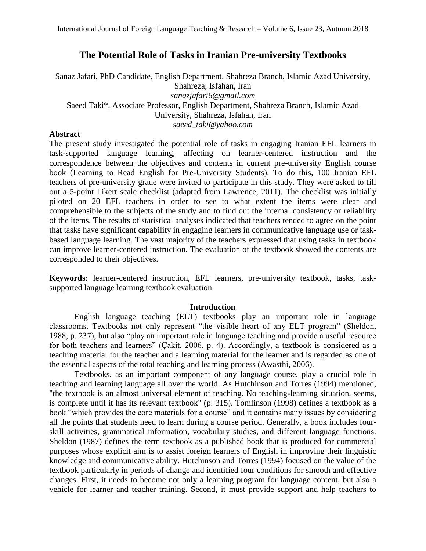# **The Potential Role of Tasks in Iranian Pre-university Textbooks**

Sanaz Jafari, PhD Candidate, English Department, Shahreza Branch, Islamic Azad University, Shahreza, Isfahan, Iran *[sanazjafari6@gmail.com](mailto:sanazjafari6@gmail.com)* Saeed Taki\*, Associate Professor, English Department, Shahreza Branch, Islamic Azad University, Shahreza, Isfahan, Iran *saeed\_taki@yahoo.com*

## **Abstract**

The present study investigated the potential role of tasks in engaging Iranian EFL learners in task-supported language learning, affecting on learner-centered instruction and the correspondence between the objectives and contents in current pre-university English course book (Learning to Read English for Pre-University Students). To do this, 100 Iranian EFL teachers of pre-university grade were invited to participate in this study. They were asked to fill out a 5-point Likert scale checklist (adapted from Lawrence, 2011). The checklist was initially piloted on 20 EFL teachers in order to see to what extent the items were clear and comprehensible to the subjects of the study and to find out the internal consistency or reliability of the items. The results of statistical analyses indicated that teachers tended to agree on the point that tasks have significant capability in engaging learners in communicative language use or taskbased language learning. The vast majority of the teachers expressed that using tasks in textbook can improve learner-centered instruction. The evaluation of the textbook showed the contents are corresponded to their objectives.

**Keywords:** learner-centered instruction, EFL learners, pre-university textbook, tasks, tasksupported language learning textbook evaluation

### **Introduction**

English language teaching (ELT) textbooks play an important role in language classrooms. Textbooks not only represent "the visible heart of any ELT program" (Sheldon, 1988, p. 237), but also "play an important role in language teaching and provide a useful resource for both teachers and learners" (Çakit, 2006, p. 4). Accordingly, a textbook is considered as a teaching material for the teacher and a learning material for the learner and is regarded as one of the essential aspects of the total teaching and learning process (Awasthi, 2006).

Textbooks, as an important component of any language course, play a crucial role in teaching and learning language all over the world. As Hutchinson and Torres (1994) mentioned, "the textbook is an almost universal element of teaching. No teaching-learning situation, seems, is complete until it has its relevant textbook" (p. 315). Tomlinson (1998) defines a textbook as a book "which provides the core materials for a course" and it contains many issues by considering all the points that students need to learn during a course period. Generally, a book includes fourskill activities, grammatical information, vocabulary studies, and different language functions. Sheldon (1987) defines the term textbook as a published book that is produced for commercial purposes whose explicit aim is to assist foreign learners of English in improving their linguistic knowledge and communicative ability. Hutchinson and Torres (1994) focused on the value of the textbook particularly in periods of change and identified four conditions for smooth and effective changes. First, it needs to become not only a learning program for language content, but also a vehicle for learner and teacher training. Second, it must provide support and help teachers to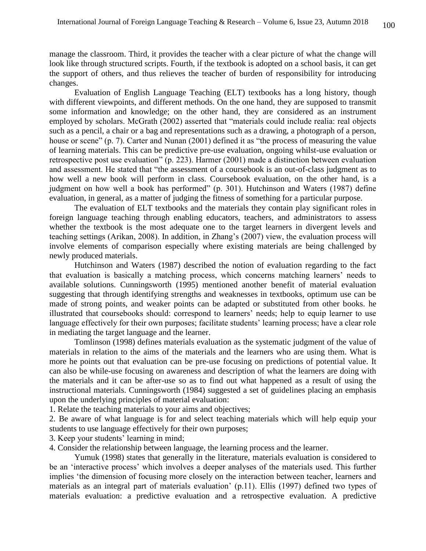manage the classroom. Third, it provides the teacher with a clear picture of what the change will look like through structured scripts. Fourth, if the textbook is adopted on a school basis, it can get the support of others, and thus relieves the teacher of burden of responsibility for introducing changes.

Evaluation of English Language Teaching (ELT) textbooks has a long history, though with different viewpoints, and different methods. On the one hand, they are supposed to transmit some information and knowledge; on the other hand, they are considered as an instrument employed by scholars. McGrath (2002) asserted that "materials could include realia: real objects such as a pencil, a chair or a bag and representations such as a drawing, a photograph of a person, house or scene" (p. 7). Carter and Nunan (2001) defined it as "the process of measuring the value of learning materials. This can be predictive pre-use evaluation, ongoing whilst-use evaluation or retrospective post use evaluation" (p. 223). Harmer (2001) made a distinction between evaluation and assessment. He stated that "the assessment of a coursebook is an out-of-class judgment as to how well a new book will perform in class. Coursebook evaluation, on the other hand, is a judgment on how well a book has performed" (p. 301). Hutchinson and Waters (1987) define evaluation, in general, as a matter of judging the fitness of something for a particular purpose.

The evaluation of ELT textbooks and the materials they contain play significant roles in foreign language teaching through enabling educators, teachers, and administrators to assess whether the textbook is the most adequate one to the target learners in divergent levels and teaching settings (Arikan, 2008). In addition, in Zhang's (2007) view, the evaluation process will involve elements of comparison especially where existing materials are being challenged by newly produced materials.

Hutchinson and Waters (1987) described the notion of evaluation regarding to the fact that evaluation is basically a matching process, which concerns matching learners' needs to available solutions. Cunningsworth (1995) mentioned another benefit of material evaluation suggesting that through identifying strengths and weaknesses in textbooks, optimum use can be made of strong points, and weaker points can be adapted or substituted from other books. he illustrated that coursebooks should: correspond to learners' needs; help to equip learner to use language effectively for their own purposes; facilitate students' learning process; have a clear role in mediating the target language and the learner.

Tomlinson (1998) defines materials evaluation as the systematic judgment of the value of materials in relation to the aims of the materials and the learners who are using them. What is more he points out that evaluation can be pre-use focusing on predictions of potential value. It can also be while-use focusing on awareness and description of what the learners are doing with the materials and it can be after-use so as to find out what happened as a result of using the instructional materials. Cunningsworth (1984) suggested a set of guidelines placing an emphasis upon the underlying principles of material evaluation:

1. Relate the teaching materials to your aims and objectives;

2. Be aware of what language is for and select teaching materials which will help equip your students to use language effectively for their own purposes;

3. Keep your students' learning in mind;

4. Consider the relationship between language, the learning process and the learner.

Yumuk (1998) states that generally in the literature, materials evaluation is considered to be an 'interactive process' which involves a deeper analyses of the materials used. This further implies 'the dimension of focusing more closely on the interaction between teacher, learners and materials as an integral part of materials evaluation' (p.11). Ellis (1997) defined two types of materials evaluation: a predictive evaluation and a retrospective evaluation. A predictive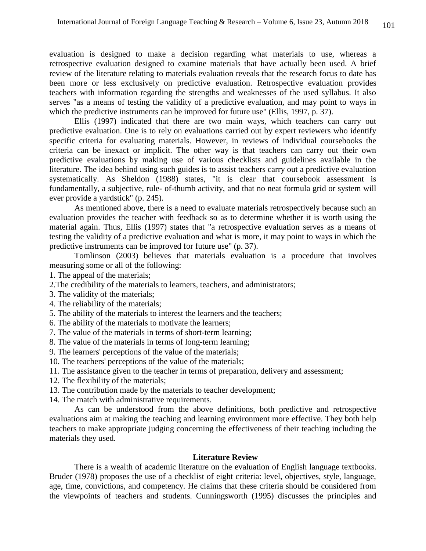evaluation is designed to make a decision regarding what materials to use, whereas a retrospective evaluation designed to examine materials that have actually been used. A brief review of the literature relating to materials evaluation reveals that the research focus to date has been more or less exclusively on predictive evaluation. Retrospective evaluation provides teachers with information regarding the strengths and weaknesses of the used syllabus. It also serves "as a means of testing the validity of a predictive evaluation, and may point to ways in which the predictive instruments can be improved for future use" (Ellis, 1997, p. 37).

Ellis (1997) indicated that there are two main ways, which teachers can carry out predictive evaluation. One is to rely on evaluations carried out by expert reviewers who identify specific criteria for evaluating materials. However, in reviews of individual coursebooks the criteria can be inexact or implicit. The other way is that teachers can carry out their own predictive evaluations by making use of various checklists and guidelines available in the literature. The idea behind using such guides is to assist teachers carry out a predictive evaluation systematically. As Sheldon (1988) states, "it is clear that coursebook assessment is fundamentally, a subjective, rule- of-thumb activity, and that no neat formula grid or system will ever provide a yardstick" (p. 245).

As mentioned above, there is a need to evaluate materials retrospectively because such an evaluation provides the teacher with feedback so as to determine whether it is worth using the material again. Thus, Ellis (1997) states that "a retrospective evaluation serves as a means of testing the validity of a predictive evaluation and what is more, it may point to ways in which the predictive instruments can be improved for future use" (p. 37).

Tomlinson (2003) believes that materials evaluation is a procedure that involves measuring some or all of the following:

1. The appeal of the materials;

- 2.The credibility of the materials to learners, teachers, and administrators;
- 3. The validity of the materials;
- 4. The reliability of the materials;
- 5. The ability of the materials to interest the learners and the teachers;
- 6. The ability of the materials to motivate the learners;
- 7. The value of the materials in terms of short-term learning;
- 8. The value of the materials in terms of long-term learning;
- 9. The learners' perceptions of the value of the materials;
- 10. The teachers' perceptions of the value of the materials;
- 11. The assistance given to the teacher in terms of preparation, delivery and assessment;
- 12. The flexibility of the materials;
- 13. The contribution made by the materials to teacher development;
- 14. The match with administrative requirements.

As can be understood from the above definitions, both predictive and retrospective evaluations aim at making the teaching and learning environment more effective. They both help teachers to make appropriate judging concerning the effectiveness of their teaching including the materials they used.

#### **Literature Review**

There is a wealth of academic literature on the evaluation of English language textbooks. Bruder (1978) proposes the use of a checklist of eight criteria: level, objectives, style, language, age, time, convictions, and competency. He claims that these criteria should be considered from the viewpoints of teachers and students. Cunningsworth (1995) discusses the principles and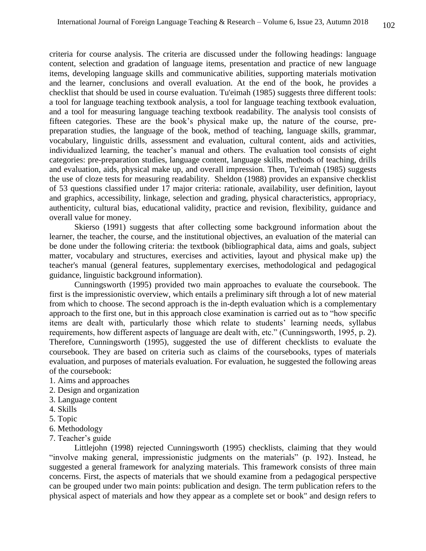criteria for course analysis. The criteria are discussed under the following headings: language content, selection and gradation of language items, presentation and practice of new language items, developing language skills and communicative abilities, supporting materials motivation and the learner, conclusions and overall evaluation. At the end of the book, he provides a checklist that should be used in course evaluation. Tu'eimah (1985) suggests three different tools: a tool for language teaching textbook analysis, a tool for language teaching textbook evaluation, and a tool for measuring language teaching textbook readability. The analysis tool consists of fifteen categories. These are the book's physical make up, the nature of the course, prepreparation studies, the language of the book, method of teaching, language skills, grammar, vocabulary, linguistic drills, assessment and evaluation, cultural content, aids and activities, individualized learning, the teacher's manual and others. The evaluation tool consists of eight categories: pre-preparation studies, language content, language skills, methods of teaching, drills and evaluation, aids, physical make up, and overall impression. Then, Tu'eimah (1985) suggests the use of cloze tests for measuring readability. Sheldon (1988) provides an expansive checklist of 53 questions classified under 17 major criteria: rationale, availability, user definition, layout and graphics, accessibility, linkage, selection and grading, physical characteristics, appropriacy, authenticity, cultural bias, educational validity, practice and revision, flexibility, guidance and overall value for money.

Skierso (1991) suggests that after collecting some background information about the learner, the teacher, the course, and the institutional objectives, an evaluation of the material can be done under the following criteria: the textbook (bibliographical data, aims and goals, subject matter, vocabulary and structures, exercises and activities, layout and physical make up) the teacher's manual (general features, supplementary exercises, methodological and pedagogical guidance, linguistic background information).

Cunningsworth (1995) provided two main approaches to evaluate the coursebook. The first is the impressionistic overview, which entails a preliminary sift through a lot of new material from which to choose. The second approach is the in-depth evaluation which is a complementary approach to the first one, but in this approach close examination is carried out as to "how specific items are dealt with, particularly those which relate to students' learning needs, syllabus requirements, how different aspects of language are dealt with, etc." (Cunningsworth, 1995, p. 2). Therefore, Cunningsworth (1995), suggested the use of different checklists to evaluate the coursebook. They are based on criteria such as claims of the coursebooks, types of materials evaluation, and purposes of materials evaluation. For evaluation, he suggested the following areas of the coursebook:

- 1. Aims and approaches
- 2. Design and organization
- 3. Language content
- 4. Skills
- 5. Topic
- 6. Methodology
- 7. Teacher's guide

Littlejohn (1998) rejected Cunningsworth (1995) checklists, claiming that they would "involve making general, impressionistic judgments on the materials" (p. 192). Instead, he suggested a general framework for analyzing materials. This framework consists of three main concerns. First, the aspects of materials that we should examine from a pedagogical perspective can be grouped under two main points: publication and design. The term publication refers to the physical aspect of materials and how they appear as a complete set or book" and design refers to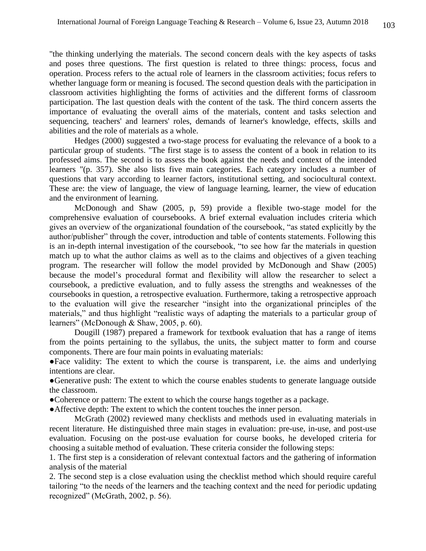"the thinking underlying the materials. The second concern deals with the key aspects of tasks and poses three questions. The first question is related to three things: process, focus and operation. Process refers to the actual role of learners in the classroom activities; focus refers to whether language form or meaning is focused. The second question deals with the participation in classroom activities highlighting the forms of activities and the different forms of classroom participation. The last question deals with the content of the task. The third concern asserts the importance of evaluating the overall aims of the materials, content and tasks selection and sequencing, teachers' and learners' roles, demands of learner's knowledge, effects, skills and abilities and the role of materials as a whole.

Hedges (2000) suggested a two-stage process for evaluating the relevance of a book to a particular group of students. "The first stage is to assess the content of a book in relation to its professed aims. The second is to assess the book against the needs and context of the intended learners "(p. 357). She also lists five main categories. Each category includes a number of questions that vary according to learner factors, institutional setting, and sociocultural context. These are: the view of language, the view of language learning, learner, the view of education and the environment of learning.

McDonough and Shaw (2005, p, 59) provide a flexible two-stage model for the comprehensive evaluation of coursebooks. A brief external evaluation includes criteria which gives an overview of the organizational foundation of the coursebook, "as stated explicitly by the author/publisher" through the cover, introduction and table of contents statements. Following this is an in-depth internal investigation of the coursebook, "to see how far the materials in question match up to what the author claims as well as to the claims and objectives of a given teaching program. The researcher will follow the model provided by McDonough and Shaw (2005) because the model's procedural format and flexibility will allow the researcher to select a coursebook, a predictive evaluation, and to fully assess the strengths and weaknesses of the coursebooks in question, a retrospective evaluation. Furthermore, taking a retrospective approach to the evaluation will give the researcher "insight into the organizational principles of the materials," and thus highlight "realistic ways of adapting the materials to a particular group of learners" (McDonough & Shaw, 2005, p. 60).

Dougill (1987) prepared a framework for textbook evaluation that has a range of items from the points pertaining to the syllabus, the units, the subject matter to form and course components. There are four main points in evaluating materials:

●Face validity: The extent to which the course is transparent, i.e. the aims and underlying intentions are clear.

●Generative push: The extent to which the course enables students to generate language outside the classroom.

●Coherence or pattern: The extent to which the course hangs together as a package.

●Affective depth: The extent to which the content touches the inner person.

McGrath (2002) reviewed many checklists and methods used in evaluating materials in recent literature. He distinguished three main stages in evaluation: pre-use, in-use, and post-use evaluation. Focusing on the post-use evaluation for course books, he developed criteria for choosing a suitable method of evaluation. These criteria consider the following steps:

1. The first step is a consideration of relevant contextual factors and the gathering of information analysis of the material

2. The second step is a close evaluation using the checklist method which should require careful tailoring "to the needs of the learners and the teaching context and the need for periodic updating recognized" (McGrath, 2002, p. 56).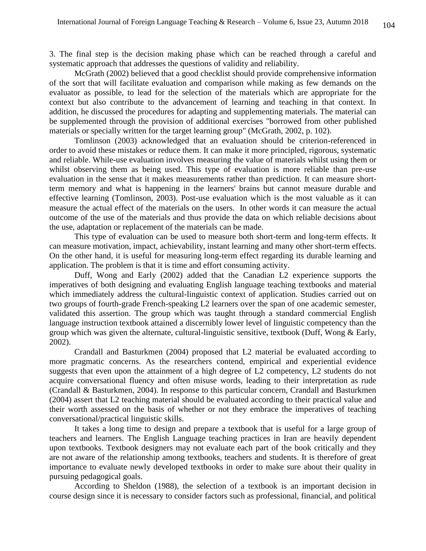3. The final step is the decision making phase which can be reached through a careful and systematic approach that addresses the questions of validity and reliability.

McGrath (2002) believed that a good checklist should provide comprehensive information of the sort that will facilitate evaluation and comparison while making as few demands on the evaluator as possible, to lead for the selection of the materials which are appropriate for the context but also contribute to the advancement of learning and teaching in that context. In addition, he discussed the procedures for adapting and supplementing materials. The material can be supplemented through the provision of additional exercises "borrowed from other published materials or specially written for the target learning group" (McGrath, 2002, p. 102).

Tomlinson (2003) acknowledged that an evaluation should be criterion-referenced in order to avoid these mistakes or reduce them. It can make it more principled, rigorous, systematic and reliable. While-use evaluation involves measuring the value of materials whilst using them or whilst observing them as being used. This type of evaluation is more reliable than pre-use evaluation in the sense that it makes measurements rather than prediction. It can measure shortterm memory and what is happening in the learners' brains but cannot measure durable and effective learning (Tomlinson, 2003). Post-use evaluation which is the most valuable as it can measure the actual effect of the materials on the users. In other words it can measure the actual outcome of the use of the materials and thus provide the data on which reliable decisions about the use, adaptation or replacement of the materials can be made.

This type of evaluation can be used to measure both short-term and long-term effects. It can measure motivation, impact, achievability, instant learning and many other short-term effects. On the other hand, it is useful for measuring long-term effect regarding its durable learning and application. The problem is that it is time and effort consuming activity.

Duff, Wong and Early (2002) added that the Canadian L2 experience supports the imperatives of both designing and evaluating English language teaching textbooks and material which immediately address the cultural-linguistic context of application. Studies carried out on two groups of fourth-grade French-speaking L2 learners over the span of one academic semester, validated this assertion. The group which was taught through a standard commercial English language instruction textbook attained a discernibly lower level of linguistic competency than the group which was given the alternate, cultural-linguistic sensitive, textbook (Duff, Wong & Early, 2002).

Crandall and Basturkmen (2004) proposed that L2 material be evaluated according to more pragmatic concerns. As the researchers contend, empirical and experiential evidence suggests that even upon the attainment of a high degree of L2 competency, L2 students do not acquire conversational fluency and often misuse words, leading to their interpretation as rude (Crandall & Basturkmen, 2004). In response to this particular concern, Crandall and Basturkmen (2004) assert that L2 teaching material should be evaluated according to their practical value and their worth assessed on the basis of whether or not they embrace the imperatives of teaching conversational/practical linguistic skills.

It takes a long time to design and prepare a textbook that is useful for a large group of teachers and learners. The English Language teaching practices in Iran are heavily dependent upon textbooks. Textbook designers may not evaluate each part of the book critically and they are not aware of the relationship among textbooks, teachers and students. It is therefore of great importance to evaluate newly developed textbooks in order to make sure about their quality in pursuing pedagogical goals.

According to Sheldon (1988), the selection of a textbook is an important decision in course design since it is necessary to consider factors such as professional, financial, and political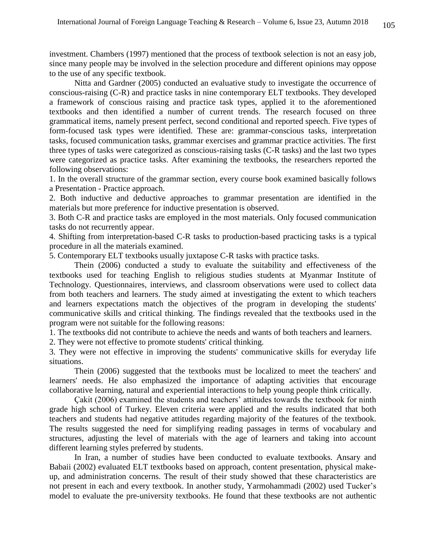investment. Chambers (1997) mentioned that the process of textbook selection is not an easy job, since many people may be involved in the selection procedure and different opinions may oppose to the use of any specific textbook.

Nitta and Gardner (2005) conducted an evaluative study to investigate the occurrence of conscious-raising (C-R) and practice tasks in nine contemporary ELT textbooks. They developed a framework of conscious raising and practice task types, applied it to the aforementioned textbooks and then identified a number of current trends. The research focused on three grammatical items, namely present perfect, second conditional and reported speech. Five types of form-focused task types were identified. These are: grammar-conscious tasks, interpretation tasks, focused communication tasks, grammar exercises and grammar practice activities. The first three types of tasks were categorized as conscious-raising tasks (C-R tasks) and the last two types were categorized as practice tasks. After examining the textbooks, the researchers reported the following observations:

1. In the overall structure of the grammar section, every course book examined basically follows a Presentation - Practice approach.

2. Both inductive and deductive approaches to grammar presentation are identified in the materials but more preference for inductive presentation is observed.

3. Both C-R and practice tasks are employed in the most materials. Only focused communication tasks do not recurrently appear.

4. Shifting from interpretation-based C-R tasks to production-based practicing tasks is a typical procedure in all the materials examined.

5. Contemporary ELT textbooks usually juxtapose C-R tasks with practice tasks.

Thein (2006) conducted a study to evaluate the suitability and effectiveness of the textbooks used for teaching English to religious studies students at Myanmar Institute of Technology. Questionnaires, interviews, and classroom observations were used to collect data from both teachers and learners. The study aimed at investigating the extent to which teachers and learners expectations match the objectives of the program in developing the students' communicative skills and critical thinking. The findings revealed that the textbooks used in the program were not suitable for the following reasons:

1. The textbooks did not contribute to achieve the needs and wants of both teachers and learners.

2. They were not effective to promote students' critical thinking.

3. They were not effective in improving the students' communicative skills for everyday life situations.

Thein (2006) suggested that the textbooks must be localized to meet the teachers' and learners' needs. He also emphasized the importance of adapting activities that encourage collaborative learning, natural and experiential interactions to help young people think critically.

Çakit (2006) examined the students and teachers' attitudes towards the textbook for ninth grade high school of Turkey. Eleven criteria were applied and the results indicated that both teachers and students had negative attitudes regarding majority of the features of the textbook. The results suggested the need for simplifying reading passages in terms of vocabulary and structures, adjusting the level of materials with the age of learners and taking into account different learning styles preferred by students.

In Iran, a number of studies have been conducted to evaluate textbooks. Ansary and Babaii (2002) evaluated ELT textbooks based on approach, content presentation, physical makeup, and administration concerns. The result of their study showed that these characteristics are not present in each and every textbook. In another study, Yarmohammadi (2002) used Tucker's model to evaluate the pre-university textbooks. He found that these textbooks are not authentic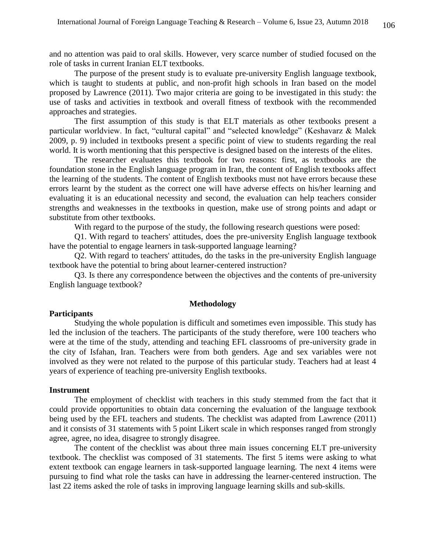and no attention was paid to oral skills. However, very scarce number of studied focused on the role of tasks in current Iranian ELT textbooks.

The purpose of the present study is to evaluate pre-university English language textbook, which is taught to students at public, and non-profit high schools in Iran based on the model proposed by Lawrence (2011). Two major criteria are going to be investigated in this study: the use of tasks and activities in textbook and overall fitness of textbook with the recommended approaches and strategies.

The first assumption of this study is that ELT materials as other textbooks present a particular worldview. In fact, "cultural capital" and "selected knowledge" (Keshavarz & Malek 2009, p. 9) included in textbooks present a specific point of view to students regarding the real world. It is worth mentioning that this perspective is designed based on the interests of the elites.

The researcher evaluates this textbook for two reasons: first, as textbooks are the foundation stone in the English language program in Iran, the content of English textbooks affect the learning of the students. The content of English textbooks must not have errors because these errors learnt by the student as the correct one will have adverse effects on his/her learning and evaluating it is an educational necessity and second, the evaluation can help teachers consider strengths and weaknesses in the textbooks in question, make use of strong points and adapt or substitute from other textbooks.

With regard to the purpose of the study, the following research questions were posed:

Q1. With regard to teachers' attitudes, does the pre-university English language textbook have the potential to engage learners in task-supported language learning?

Q2. With regard to teachers' attitudes, do the tasks in the pre-university English language textbook have the potential to bring about learner-centered instruction?

Q3. Is there any correspondence between the objectives and the contents of pre-university English language textbook?

### **Methodology**

### **Participants**

Studying the whole population is difficult and sometimes even impossible. This study has led the inclusion of the teachers. The participants of the study therefore, were 100 teachers who were at the time of the study, attending and teaching EFL classrooms of pre-university grade in the city of Isfahan, Iran. Teachers were from both genders. Age and sex variables were not involved as they were not related to the purpose of this particular study. Teachers had at least 4 years of experience of teaching pre-university English textbooks.

### **Instrument**

The employment of checklist with teachers in this study stemmed from the fact that it could provide opportunities to obtain data concerning the evaluation of the language textbook being used by the EFL teachers and students. The checklist was adapted from Lawrence (2011) and it consists of 31 statements with 5 point Likert scale in which responses ranged from strongly agree, agree, no idea, disagree to strongly disagree.

The content of the checklist was about three main issues concerning ELT pre-university textbook. The checklist was composed of 31 statements. The first 5 items were asking to what extent textbook can engage learners in task-supported language learning. The next 4 items were pursuing to find what role the tasks can have in addressing the learner-centered instruction. The last 22 items asked the role of tasks in improving language learning skills and sub-skills.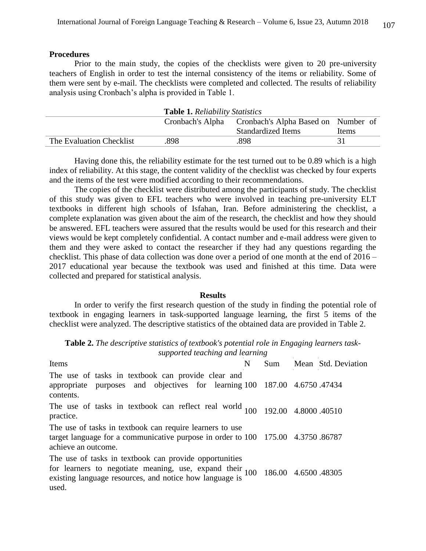### **Procedures**

Prior to the main study, the copies of the checklists were given to 20 pre-university teachers of English in order to test the internal consistency of the items or reliability. Some of them were sent by e-mail. The checklists were completed and collected. The results of reliability analysis using Cronbach's alpha is provided in Table 1.

| <b>Table 1. Reliability Statistics</b> |      |                                                      |       |  |  |
|----------------------------------------|------|------------------------------------------------------|-------|--|--|
|                                        |      | Cronbach's Alpha Cronbach's Alpha Based on Number of |       |  |  |
|                                        |      | <b>Standardized Items</b>                            | Items |  |  |
| The Evaluation Checklist               | .898 | .898                                                 | 31    |  |  |

Having done this, the reliability estimate for the test turned out to be 0.89 which is a high index of reliability. At this stage, the content validity of the checklist was checked by four experts and the items of the test were modified according to their recommendations.

The copies of the checklist were distributed among the participants of study. The checklist of this study was given to EFL teachers who were involved in teaching pre-university ELT textbooks in different high schools of Isfahan, Iran. Before administering the checklist, a complete explanation was given about the aim of the research, the checklist and how they should be answered. EFL teachers were assured that the results would be used for this research and their views would be kept completely confidential. A contact number and e-mail address were given to them and they were asked to contact the researcher if they had any questions regarding the checklist. This phase of data collection was done over a period of one month at the end of 2016 – 2017 educational year because the textbook was used and finished at this time. Data were collected and prepared for statistical analysis.

#### **Results**

In order to verify the first research question of the study in finding the potential role of textbook in engaging learners in task-supported language learning, the first 5 items of the checklist were analyzed. The descriptive statistics of the obtained data are provided in Table 2.

**Table 2.** *The descriptive statistics of textbook's potential role in Engaging learners tasksupported teaching and learning*

| Items                                                                                                                                                                                                        | N | Sum | Mean Std. Deviation |
|--------------------------------------------------------------------------------------------------------------------------------------------------------------------------------------------------------------|---|-----|---------------------|
| The use of tasks in textbook can provide clear and<br>appropriate purposes and objectives for learning 100 187.00 4.6750.47434<br>contents.                                                                  |   |     |                     |
| The use of tasks in textbook can reflect real world $100$ 192.00 4.8000.40510<br>practice.                                                                                                                   |   |     |                     |
| The use of tasks in textbook can require learners to use<br>target language for a communicative purpose in order to 100 175.00 4.3750.86787<br>achieve an outcome.                                           |   |     |                     |
| The use of tasks in textbook can provide opportunities<br>for learners to negotiate meaning, use, expand their $100$ 186.00 4.6500.48305<br>existing language resources, and notice how language is<br>used. |   |     |                     |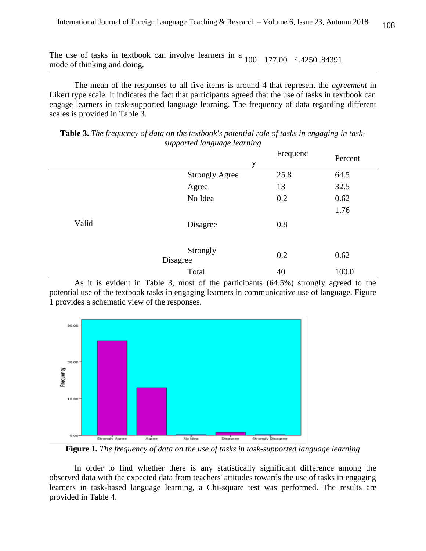The use of tasks in textbook can involve learners in a 100 177.00 4.4250.84391 mode of thinking and doing.

The mean of the responses to all five items is around 4 that represent the *agreement* in Likert type scale. It indicates the fact that participants agreed that the use of tasks in textbook can engage learners in task-supported language learning. The frequency of data regarding different scales is provided in Table 3.

**Table 3.** *The frequency of data on the textbook's potential role of tasks in engaging in tasksupported language learning*

|       | y                           | Frequenc | Percent |
|-------|-----------------------------|----------|---------|
|       | à.<br><b>Strongly Agree</b> | 25.8     | 64.5    |
|       | Agree                       | 13       | 32.5    |
|       | No Idea                     | 0.2      | 0.62    |
|       |                             |          | 1.76    |
| Valid | Disagree                    | 0.8      |         |
|       | Strongly<br>Disagree        | 0.2      | 0.62    |
|       | Total                       | 40       | 100.0   |

As it is evident in Table 3, most of the participants (64.5%) strongly agreed to the potential use of the textbook tasks in engaging learners in communicative use of language. Figure 1 provides a schematic view of the responses.



**Figure 1***. The frequency of data on the use of tasks in task-supported language learning*

In order to find whether there is any statistically significant difference among the observed data with the expected data from teachers' attitudes towards the use of tasks in engaging learners in task-based language learning, a Chi-square test was performed. The results are provided in Table 4.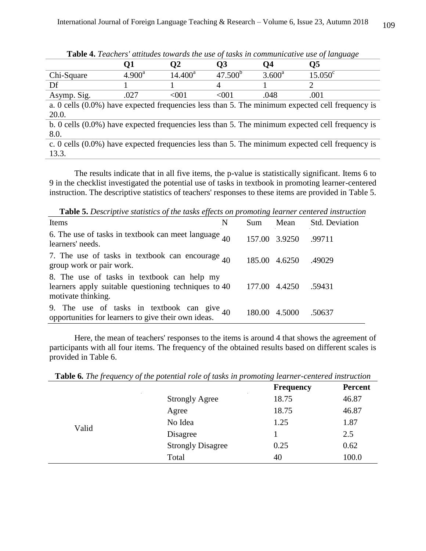| <b>Table 4.</b> Leachers' attitudes towards the use of tasks in communicative use of language      |                 |            |              |                 |                  |  |
|----------------------------------------------------------------------------------------------------|-----------------|------------|--------------|-----------------|------------------|--|
|                                                                                                    | Q1              | O2         | Q3           | Q4              | О5               |  |
| Chi-Square                                                                                         | $4.900^{\rm a}$ | $14.400^a$ | $47.500^{b}$ | $3.600^{\rm a}$ | $15.050^{\circ}$ |  |
| Df                                                                                                 |                 |            | 4            |                 |                  |  |
| Asymp. Sig.                                                                                        | .027            | $001$      | < 001        | .048            | .001             |  |
| a. 0 cells $(0.0\%)$ have expected frequencies less than 5. The minimum expected cell frequency is |                 |            |              |                 |                  |  |
| 20.0.                                                                                              |                 |            |              |                 |                  |  |
| b. 0 cells $(0.0\%)$ have expected frequencies less than 5. The minimum expected cell frequency is |                 |            |              |                 |                  |  |
| 8.0.                                                                                               |                 |            |              |                 |                  |  |
| c. 0 cells $(0.0\%)$ have expected frequencies less than 5. The minimum expected cell frequency is |                 |            |              |                 |                  |  |
| 13.3.                                                                                              |                 |            |              |                 |                  |  |

**Table 4.** *Teachers' attitudes towards the use of tasks in communicative use of language*

The results indicate that in all five items, the p-value is statistically significant. Items 6 to 9 in the checklist investigated the potential use of tasks in textbook in promoting learner-centered instruction. The descriptive statistics of teachers' responses to these items are provided in Table 5.

**Table 5.** *Descriptive statistics of the tasks effects on promoting learner centered instruction*

| Items                                                                                                                     | N | Sum    | Mean          | <b>Std. Deviation</b> |
|---------------------------------------------------------------------------------------------------------------------------|---|--------|---------------|-----------------------|
| 6. The use of tasks in textbook can meet language $_{40}$<br>learners' needs.                                             |   |        | 157.00 3.9250 | .99711                |
| 7. The use of tasks in textbook can encourage $_{40}$<br>group work or pair work.                                         |   | 185.00 | 4.6250        | .49029                |
| 8. The use of tasks in textbook can help my<br>learners apply suitable questioning techniques to 40<br>motivate thinking. |   |        | 177.00 4.4250 | .59431                |
| 9. The use of tasks in textbook can give $_{40}$<br>opportunities for learners to give their own ideas.                   |   |        | 180.00 4.5000 | .50637                |

Here, the mean of teachers' responses to the items is around 4 that shows the agreement of participants with all four items. The frequency of the obtained results based on different scales is provided in Table 6.

**Table 6***. The frequency of the potential role of tasks in promoting learner-centered instruction*

|       | $\mathcal{L}_{\mathbf{r}}$ | <b>Frequency</b> | <b>Percent</b> |
|-------|----------------------------|------------------|----------------|
|       | <b>Strongly Agree</b>      | 18.75            | 46.87          |
|       | Agree                      | 18.75            | 46.87          |
| Valid | No Idea                    | 1.25             | 1.87           |
|       | Disagree                   |                  | 2.5            |
|       | <b>Strongly Disagree</b>   | 0.25             | 0.62           |
|       | Total                      | 40               | 100.0          |
|       |                            |                  |                |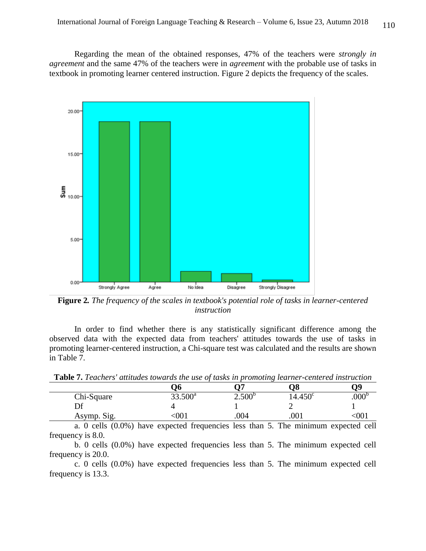Regarding the mean of the obtained responses, 47% of the teachers were *strongly in agreement* and the same 47% of the teachers were in *agreement* with the probable use of tasks in textbook in promoting learner centered instruction. Figure 2 depicts the frequency of the scales.



**Figure 2***. The frequency of the scales in textbook's potential role of tasks in learner-centered instruction*

In order to find whether there is any statistically significant difference among the observed data with the expected data from teachers' attitudes towards the use of tasks in promoting learner-centered instruction, a Chi-square test was calculated and the results are shown in Table 7.

**Table 7.** *Teachers' attitudes towards the use of tasks in promoting learner-centered instruction*

|             |            |             | $\sim$           |      |
|-------------|------------|-------------|------------------|------|
|             | Jh         |             | O8               | 79   |
| Chi-Square  | $33.500^a$ | $2.500^{6}$ | $14.450^{\circ}$ | .UUU |
| Df          |            |             |                  |      |
| Asymp. Sig. | UU.        | .004        | .001             | ' JU |

a. 0 cells (0.0%) have expected frequencies less than 5. The minimum expected cell frequency is 8.0.

b. 0 cells (0.0%) have expected frequencies less than 5. The minimum expected cell frequency is 20.0.

c. 0 cells (0.0%) have expected frequencies less than 5. The minimum expected cell frequency is 13.3.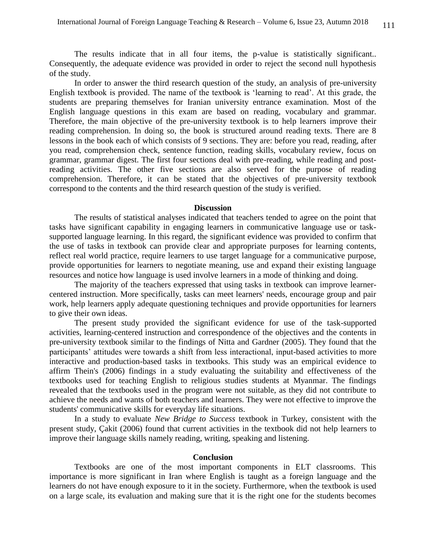The results indicate that in all four items, the p-value is statistically significant.. Consequently, the adequate evidence was provided in order to reject the second null hypothesis of the study.

In order to answer the third research question of the study, an analysis of pre-university English textbook is provided. The name of the textbook is 'learning to read'. At this grade, the students are preparing themselves for Iranian university entrance examination. Most of the English language questions in this exam are based on reading, vocabulary and grammar. Therefore, the main objective of the pre-university textbook is to help learners improve their reading comprehension. In doing so, the book is structured around reading texts. There are 8 lessons in the book each of which consists of 9 sections. They are: before you read, reading, after you read, comprehension check, sentence function, reading skills, vocabulary review, focus on grammar, grammar digest. The first four sections deal with pre-reading, while reading and postreading activities. The other five sections are also served for the purpose of reading comprehension. Therefore, it can be stated that the objectives of pre-university textbook correspond to the contents and the third research question of the study is verified.

#### **Discussion**

The results of statistical analyses indicated that teachers tended to agree on the point that tasks have significant capability in engaging learners in communicative language use or tasksupported language learning. In this regard, the significant evidence was provided to confirm that the use of tasks in textbook can provide clear and appropriate purposes for learning contents, reflect real world practice, require learners to use target language for a communicative purpose, provide opportunities for learners to negotiate meaning, use and expand their existing language resources and notice how language is used involve learners in a mode of thinking and doing.

The majority of the teachers expressed that using tasks in textbook can improve learnercentered instruction. More specifically, tasks can meet learners' needs, encourage group and pair work, help learners apply adequate questioning techniques and provide opportunities for learners to give their own ideas.

The present study provided the significant evidence for use of the task-supported activities, learning-centered instruction and correspondence of the objectives and the contents in pre-university textbook similar to the findings of Nitta and Gardner (2005). They found that the participants' attitudes were towards a shift from less interactional, input-based activities to more interactive and production-based tasks in textbooks. This study was an empirical evidence to affirm Thein's (2006) findings in a study evaluating the suitability and effectiveness of the textbooks used for teaching English to religious studies students at Myanmar. The findings revealed that the textbooks used in the program were not suitable, as they did not contribute to achieve the needs and wants of both teachers and learners. They were not effective to improve the students' communicative skills for everyday life situations.

In a study to evaluate *New Bridge to Success* textbook in Turkey, consistent with the present study, Çakit (2006) found that current activities in the textbook did not help learners to improve their language skills namely reading, writing, speaking and listening.

#### **Conclusion**

Textbooks are one of the most important components in ELT classrooms. This importance is more significant in Iran where English is taught as a foreign language and the learners do not have enough exposure to it in the society. Furthermore, when the textbook is used on a large scale, its evaluation and making sure that it is the right one for the students becomes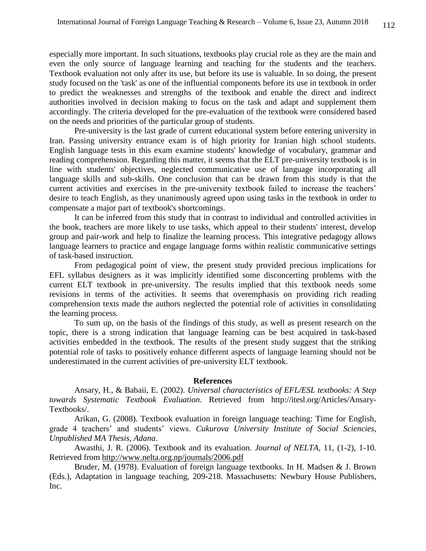especially more important. In such situations, textbooks play crucial role as they are the main and even the only source of language learning and teaching for the students and the teachers. Textbook evaluation not only after its use, but before its use is valuable. In so doing, the present study focused on the 'task' as one of the influential components before its use in textbook in order to predict the weaknesses and strengths of the textbook and enable the direct and indirect authorities involved in decision making to focus on the task and adapt and supplement them accordingly. The criteria developed for the pre-evaluation of the textbook were considered based on the needs and priorities of the particular group of students.

Pre-university is the last grade of current educational system before entering university in Iran. Passing university entrance exam is of high priority for Iranian high school students. English language tests in this exam examine students' knowledge of vocabulary, grammar and reading comprehension. Regarding this matter, it seems that the ELT pre-university textbook is in line with students' objectives, neglected communicative use of language incorporating all language skills and sub-skills. One conclusion that can be drawn from this study is that the current activities and exercises in the pre-university textbook failed to increase the teachers' desire to teach English, as they unanimously agreed upon using tasks in the textbook in order to compensate a major part of textbook's shortcomings.

It can be inferred from this study that in contrast to individual and controlled activities in the book, teachers are more likely to use tasks, which appeal to their students' interest, develop group and pair-work and help to finalize the learning process. This integrative pedagogy allows language learners to practice and engage language forms within realistic communicative settings of task-based instruction.

From pedagogical point of view, the present study provided precious implications for EFL syllabus designers as it was implicitly identified some disconcerting problems with the current ELT textbook in pre-university. The results implied that this textbook needs some revisions in terms of the activities. It seems that overemphasis on providing rich reading comprehension texts made the authors neglected the potential role of activities in consolidating the learning process.

To sum up, on the basis of the findings of this study, as well as present research on the topic, there is a strong indication that language learning can be best acquired in task-based activities embedded in the textbook. The results of the present study suggest that the striking potential role of tasks to positively enhance different aspects of language learning should not be underestimated in the current activities of pre-university ELT textbook.

### **References**

Ansary, H., & Babaii, E. (2002). *Universal characteristics of EFL/ESL textbooks: A Step towards Systematic Textbook Evaluation*. Retrieved from http://itesl.org/Articles/Ansary-Textbooks/.

Arikan, G. (2008). Textbook evaluation in foreign language teaching: Time for English, grade 4 teachers' and students' views. *Cukurova University Institute of Social Sciencies, Unpublished MA Thesis, Adana*.

Awasthi, J. R. (2006). Textbook and its evaluation. *Journal of NELTA,* 11, (1-2), 1-10. Retrieved from<http://www.nelta.org.np/journals/2006.pdf>

Bruder, M. (1978). Evaluation of foreign language textbooks. In H. Madsen & J. Brown (Eds.), Adaptation in language teaching, 209-218. Massachusetts: Newbury House Publishers, Inc.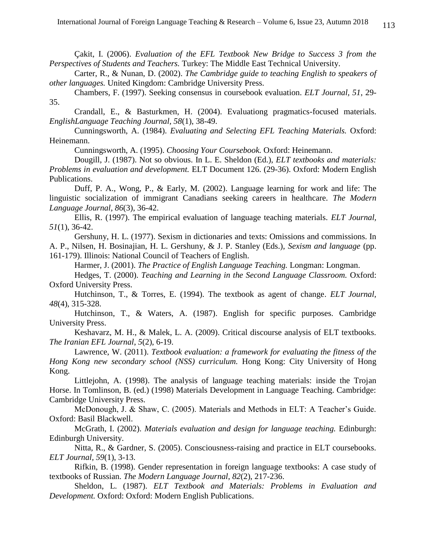Çakit, I. (2006). *Evaluation of the EFL Textbook New Bridge to Success 3 from the Perspectives of Students and Teachers.* Turkey: The Middle East Technical University.

Carter, R., & Nunan, D. (2002). *The Cambridge guide to teaching English to speakers of other languages.* United Kingdom: Cambridge University Press.

Chambers, F. (1997). Seeking consensus in coursebook evaluation. *ELT Journal, 51*, 29- 35.

Crandall, E., & Basturkmen, H. (2004). Evaluationg pragmatics-focused materials. *EnglishLanguage Teaching Journal, 58*(1), 38-49.

Cunningsworth, A. (1984). *Evaluating and Selecting EFL Teaching Materials.* Oxford: Heinemann.

Cunningsworth, A. (1995). *Choosing Your Coursebook.* Oxford: Heinemann.

Dougill, J. (1987). Not so obvious. In L. E. Sheldon (Ed.), *ELT textbooks and materials: Problems in evaluation and development.* ELT Document 126. (29-36). Oxford: Modern English Publications.

Duff, P. A., Wong, P., & Early, M. (2002). Language learning for work and life: The linguistic socialization of immigrant Canadians seeking careers in healthcare. *The Modern Language Journal, 86*(3), 36-42.

Ellis, R. (1997). The empirical evaluation of language teaching materials. *ELT Journal, 51*(1), 36-42.

Gershuny, H. L. (1977). Sexism in dictionaries and texts: Omissions and commissions. In A. P., Nilsen, H. Bosinajian, H. L. Gershuny, & J. P. Stanley (Eds.), *Sexism and language* (pp. 161-179). Illinois: National Council of Teachers of English.

Harmer, J. (2001). *The Practice of English Language Teaching.* Longman: Longman.

Hedges, T. (2000). *Teaching and Learning in the Second Language Classroom.* Oxford: Oxford University Press.

Hutchinson, T., & Torres, E. (1994). The textbook as agent of change. *ELT Journal, 48*(4), 315-328.

Hutchinson, T., & Waters, A. (1987). English for specific purposes. Cambridge University Press.

Keshavarz, M. H., & Malek, L. A. (2009). Critical discourse analysis of ELT textbooks. *The Iranian EFL Journal*, *5*(2), 6-19.

Lawrence, W. (2011). *Textbook evaluation: a framework for evaluating the fitness of the Hong Kong new secondary school (NSS) curriculum.* Hong Kong: City University of Hong Kong.

Littlejohn, A. (1998). The analysis of language teaching materials: inside the Trojan Horse. In Tomlinson, B. (ed.) (1998) Materials Development in Language Teaching. Cambridge: Cambridge University Press.

McDonough, J. & Shaw, C. (2005). Materials and Methods in ELT: A Teacher's Guide. Oxford: Basil Blackwell.

McGrath, I. (2002). *Materials evaluation and design for language teaching.* Edinburgh: Edinburgh University.

Nitta, R., & Gardner, S. (2005). Consciousness-raising and practice in ELT coursebooks. *ELT Journal, 59*(1), 3-13.

Rifkin, B. (1998). Gender representation in foreign language textbooks: A case study of textbooks of Russian. *The Modern Language Journal*, *82*(2), 217-236.

Sheldon, L. (1987). *ELT Textbook and Materials: Problems in Evaluation and Development.* Oxford: Oxford: Modern English Publications.